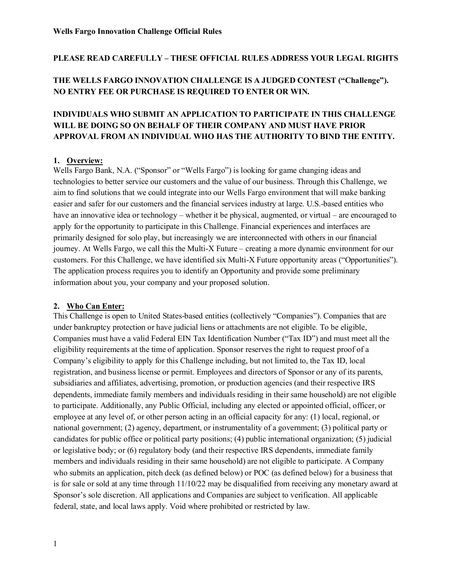#### **PLEASE READ CAREFULLY – THESE OFFICIAL RULES ADDRESS YOUR LEGAL RIGHTS**

# **THE WELLS FARGO INNOVATION CHALLENGE IS A JUDGED CONTEST ("Challenge"). NO ENTRY FEE OR PURCHASE IS REQUIRED TO ENTER OR WIN.**

# **INDIVIDUALS WHO SUBMIT AN APPLICATION TO PARTICIPATE IN THIS CHALLENGE WILL BE DOING SO ON BEHALF OF THEIR COMPANY AND MUST HAVE PRIOR APPROVAL FROM AN INDIVIDUAL WHO HAS THE AUTHORITY TO BIND THE ENTITY.**

#### **1. Overview:**

Wells Fargo Bank, N.A. ("Sponsor" or "Wells Fargo") is looking for game changing ideas and technologies to better service our customers and the value of our business. Through this Challenge, we aim to find solutions that we could integrate into our Wells Fargo environment that will make banking easier and safer for our customers and the financial services industry at large. U.S.-based entities who have an innovative idea or technology – whether it be physical, augmented, or virtual – are encouraged to apply for the opportunity to participate in this Challenge. Financial experiences and interfaces are primarily designed for solo play, but increasingly we are interconnected with others in our financial journey. At Wells Fargo, we call this the Multi-X Future – creating a more dynamic environment for our customers. For this Challenge, we have identified six Multi-X Future opportunity areas ("Opportunities"). The application process requires you to identify an Opportunity and provide some preliminary information about you, your company and your proposed solution.

#### **2. Who Can Enter:**

This Challenge is open to United States-based entities (collectively "Companies"). Companies that are under bankruptcy protection or have judicial liens or attachments are not eligible. To be eligible, Companies must have a valid Federal EIN Tax Identification Number ("Tax ID") and must meet all the eligibility requirements at the time of application. Sponsor reserves the right to request proof of a Company's eligibility to apply for this Challenge including, but not limited to, the Tax ID, local registration, and business license or permit. Employees and directors of Sponsor or any of its parents, subsidiaries and affiliates, advertising, promotion, or production agencies (and their respective IRS dependents, immediate family members and individuals residing in their same household) are not eligible to participate. Additionally, any Public Official, including any elected or appointed official, officer, or employee at any level of, or other person acting in an official capacity for any: (1) local, regional, or national government; (2) agency, department, or instrumentality of a government; (3) political party or candidates for public office or political party positions; (4) public international organization; (5) judicial or legislative body; or (6) regulatory body (and their respective IRS dependents, immediate family members and individuals residing in their same household) are not eligible to participate. A Company who submits an application, pitch deck (as defined below) or POC (as defined below) for a business that is for sale or sold at any time through 11/10/22 may be disqualified from receiving any monetary award at Sponsor's sole discretion. All applications and Companies are subject to verification. All applicable federal, state, and local laws apply. Void where prohibited or restricted by law.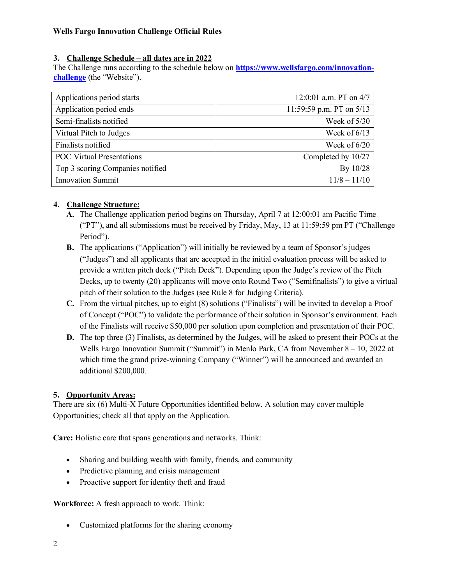## **3. Challenge Schedule – all dates are in 2022**

The Challenge runs according to the schedule below on **[https://www.wellsfargo.com/innovation](https://www.wellsfargo.com/innovation-challenge)[challenge](https://www.wellsfargo.com/innovation-challenge)** (the "Website").

| Applications period starts       | 12:0:01 a.m. PT on 4/7     |
|----------------------------------|----------------------------|
| Application period ends          | 11:59:59 p.m. PT on $5/13$ |
| Semi-finalists notified          | Week of $5/30$             |
| Virtual Pitch to Judges          | Week of $6/13$             |
| Finalists notified               | Week of $6/20$             |
| <b>POC Virtual Presentations</b> | Completed by 10/27         |
| Top 3 scoring Companies notified | By 10/28                   |
| <b>Innovation Summit</b>         | $11/8 - 11/10$             |

# **4. Challenge Structure:**

- **A.** The Challenge application period begins on Thursday, April 7 at 12:00:01 am Pacific Time ("PT"), and all submissions must be received by Friday, May, 13 at 11:59:59 pm PT ("Challenge Period").
- **B.** The applications ("Application") will initially be reviewed by a team of Sponsor's judges ("Judges") and all applicants that are accepted in the initial evaluation process will be asked to provide a written pitch deck ("Pitch Deck"). Depending upon the Judge's review of the Pitch Decks, up to twenty (20) applicants will move onto Round Two ("Semifinalists") to give a virtual pitch of their solution to the Judges (see Rule 8 for Judging Criteria).
- **C.** From the virtual pitches, up to eight (8) solutions ("Finalists") will be invited to develop a Proof of Concept ("POC") to validate the performance of their solution in Sponsor's environment. Each of the Finalists will receive \$50,000 per solution upon completion and presentation of their POC.
- **D.** The top three (3) Finalists, as determined by the Judges, will be asked to present their POCs at the Wells Fargo Innovation Summit ("Summit") in Menlo Park, CA from November 8 – 10, 2022 at which time the grand prize-winning Company ("Winner") will be announced and awarded an additional \$200,000.

# **5. Opportunity Areas:**

There are six (6) Multi-X Future Opportunities identified below. A solution may cover multiple Opportunities; check all that apply on the Application.

**Care:** Holistic care that spans generations and networks. Think:

- Sharing and building wealth with family, friends, and community
- Predictive planning and crisis management
- Proactive support for identity theft and fraud

**Workforce:** A fresh approach to work. Think:

• Customized platforms for the sharing economy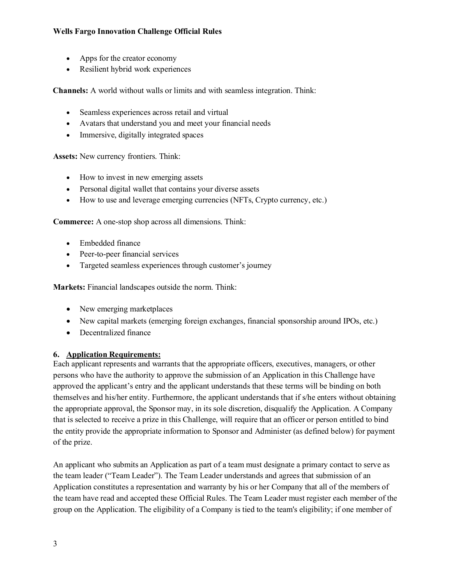- Apps for the creator economy
- Resilient hybrid work experiences

**Channels:** A world without walls or limits and with seamless integration. Think:

- Seamless experiences across retail and virtual
- Avatars that understand you and meet your financial needs
- Immersive, digitally integrated spaces

**Assets:** New currency frontiers. Think:

- How to invest in new emerging assets
- Personal digital wallet that contains your diverse assets
- How to use and leverage emerging currencies (NFTs, Crypto currency, etc.)

**Commerce:** A one-stop shop across all dimensions. Think:

- Embedded finance
- Peer-to-peer financial services
- Targeted seamless experiences through customer's journey

**Markets:** Financial landscapes outside the norm. Think:

- New emerging market places
- New capital markets (emerging foreign exchanges, financial sponsorship around IPOs, etc.)
- Decentralized finance

### **6. Application Requirements:**

Each applicant represents and warrants that the appropriate officers, executives, managers, or other persons who have the authority to approve the submission of an Application in this Challenge have approved the applicant's entry and the applicant understands that these terms will be binding on both themselves and his/her entity. Furthermore, the applicant understands that if s/he enters without obtaining the appropriate approval, the Sponsor may, in its sole discretion, disqualify the Application. A Company that is selected to receive a prize in this Challenge, will require that an officer or person entitled to bind the entity provide the appropriate information to Sponsor and Administer (as defined below) for payment of the prize.

An applicant who submits an Application as part of a team must designate a primary contact to serve as the team leader ("Team Leader"). The Team Leader understands and agrees that submission of an Application constitutes a representation and warranty by his or her Company that all of the members of the team have read and accepted these Official Rules. The Team Leader must register each member of the group on the Application. The eligibility of a Company is tied to the team's eligibility; if one member of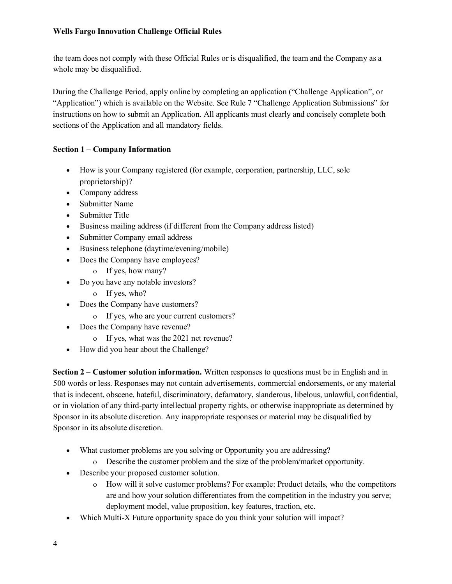the team does not comply with these Official Rules or is disqualified, the team and the Company as a whole may be disqualified.

During the Challenge Period, apply online by completing an application ("Challenge Application", or "Application") which is available on the Website. See Rule 7 "Challenge Application Submissions" for instructions on how to submit an Application. All applicants must clearly and concisely complete both sections of the Application and all mandatory fields.

## **Section 1 – Company Information**

- How is your Company registered (for example, corporation, partnership, LLC, sole proprietorship)?
- Company address
- Submitter Name
- Submitter Title
- Business mailing address (if different from the Company address listed)
- Submitter Company email address
- Business telephone (daytime/evening/mobile)
- Does the Company have employees?
	- ο If yes, how many?
- Do you have any notable investors?
	- ο If yes, who?
- Does the Company have customers?
	- ο If yes, who are your current customers?
- Does the Company have revenue?
	- ο If yes, what was the 2021 net revenue?
- How did you hear about the Challenge?

**Section 2 – Customer solution information.** Written responses to questions must be in English and in 500 words or less. Responses may not contain advertisements, commercial endorsements, or any material that is indecent, obscene, hateful, discriminatory, defamatory, slanderous, libelous, unlawful, confidential, or in violation of any third-party intellectual property rights, or otherwise inappropriate as determined by Sponsor in its absolute discretion. Any inappropriate responses or material may be disqualified by Sponsor in its absolute discretion.

- What customer problems are you solving or Opportunity you are addressing?
	- ο Describe the customer problem and the size of the problem/market opportunity.
- Describe your proposed customer solution.
	- ο How will it solve customer problems? For example: Product details, who the competitors are and how your solution differentiates from the competition in the industry you serve; deployment model, value proposition, key features, traction, etc.
- Which Multi-X Future opportunity space do you think your solution will impact?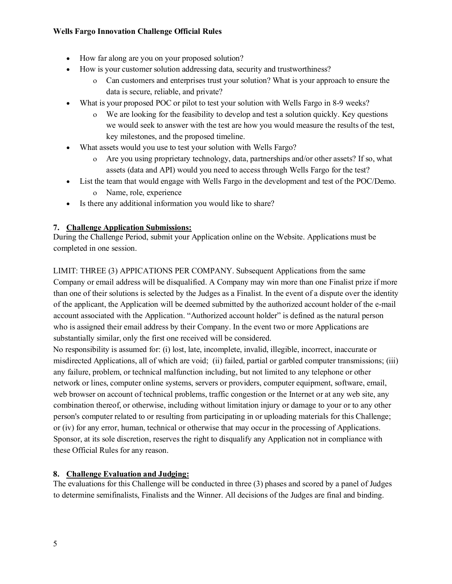- How far along are you on your proposed solution?
- How is your customer solution addressing data, security and trustworthiness?
	- ο Can customers and enterprises trust your solution? What is your approach to ensure the data is secure, reliable, and private?
- What is your proposed POC or pilot to test your solution with Wells Fargo in 8-9 weeks?
	- ο We are looking for the feasibility to develop and test a solution quickly. Key questions we would seek to answer with the test are how you would measure the results of the test, key milestones, and the proposed timeline.
- What assets would you use to test your solution with Wells Fargo?
	- ο Are you using proprietary technology, data, partnerships and/or other assets? If so, what assets (data and API) would you need to access through Wells Fargo for the test?
- List the team that would engage with Wells Fargo in the development and test of the POC/Demo. ο Name, role, experience
- Is there any additional information you would like to share?

# **7. Challenge Application Submissions:**

During the Challenge Period, submit your Application online on the Website. Applications must be completed in one session.

LIMIT: THREE (3) APPICATIONS PER COMPANY. Subsequent Applications from the same Company or email address will be disqualified. A Company may win more than one Finalist prize if more than one of their solutions is selected by the Judges as a Finalist. In the event of a dispute over the identity of the applicant, the Application will be deemed submitted by the authorized account holder of the e-mail account associated with the Application. "Authorized account holder" is defined as the natural person who is assigned their email address by their Company. In the event two or more Applications are substantially similar, only the first one received will be considered.

No responsibility is assumed for: (i) lost, late, incomplete, invalid, illegible, incorrect, inaccurate or misdirected Applications, all of which are void; (ii) failed, partial or garbled computer transmissions; (iii) any failure, problem, or technical malfunction including, but not limited to any telephone or other network or lines, computer online systems, servers or providers, computer equipment, software, email, web browser on account of technical problems, traffic congestion or the Internet or at any web site, any combination thereof, or otherwise, including without limitation injury or damage to your or to any other person's computer related to or resulting from participating in or uploading materials for this Challenge; or (iv) for any error, human, technical or otherwise that may occur in the processing of Applications. Sponsor, at its sole discretion, reserves the right to disqualify any Application not in compliance with these Official Rules for any reason.

# **8. Challenge Evaluation and Judging:**

The evaluations for this Challenge will be conducted in three (3) phases and scored by a panel of Judges to determine semifinalists, Finalists and the Winner. All decisions of the Judges are final and binding.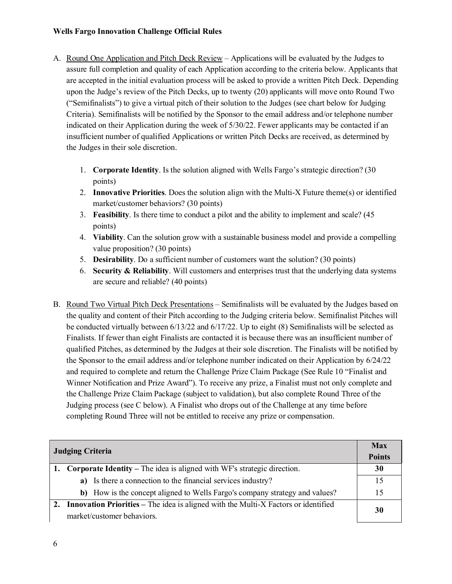- A. Round One Application and Pitch Deck Review Applications will be evaluated by the Judges to assure full completion and quality of each Application according to the criteria below. Applicants that are accepted in the initial evaluation process will be asked to provide a written Pitch Deck. Depending upon the Judge's review of the Pitch Decks, up to twenty (20) applicants will move onto Round Two ("Semifinalists") to give a virtual pitch of their solution to the Judges (see chart below for Judging Criteria). Semifinalists will be notified by the Sponsor to the email address and/or telephone number indicated on their Application during the week of 5/30/22. Fewer applicants may be contacted if an insufficient number of qualified Applications or written Pitch Decks are received, as determined by the Judges in their sole discretion.
	- 1. **Corporate Identity**. Is the solution aligned with Wells Fargo's strategic direction? (30 points)
	- 2. **Innovative Priorities**. Does the solution align with the Multi-X Future theme(s) or identified market/customer behaviors? (30 points)
	- 3. **Feasibility**. Is there time to conduct a pilot and the ability to implement and scale? (45 points)
	- 4. **Viability**. Can the solution grow with a sustainable business model and provide a compelling value proposition? (30 points)
	- 5. **Desirability**. Do a sufficient number of customers want the solution? (30 points)
	- 6. **Security & Reliability**. Will customers and enterprises trust that the underlying data systems are secure and reliable? (40 points)
- B. Round Two Virtual Pitch Deck Presentations Semifinalists will be evaluated by the Judges based on the quality and content of their Pitch according to the Judging criteria below. Semifinalist Pitches will be conducted virtually between 6/13/22 and 6/17/22. Up to eight (8) Semifinalists will be selected as Finalists. If fewer than eight Finalists are contacted it is because there was an insufficient number of qualified Pitches, as determined by the Judges at their sole discretion. The Finalists will be notified by the Sponsor to the email address and/or telephone number indicated on their Application by 6/24/22 and required to complete and return the Challenge Prize Claim Package (See Rule 10 "Finalist and Winner Notification and Prize Award"). To receive any prize, a Finalist must not only complete and the Challenge Prize Claim Package (subject to validation), but also complete Round Three of the Judging process (see C below). A Finalist who drops out of the Challenge at any time before completing Round Three will not be entitled to receive any prize or compensation.

| <b>Judging Criteria</b> |                                                                                       | <b>Max</b>    |
|-------------------------|---------------------------------------------------------------------------------------|---------------|
|                         |                                                                                       | <b>Points</b> |
|                         | 1. Corporate Identity – The idea is aligned with WF's strategic direction.            | 30            |
|                         | a) Is there a connection to the financial services industry?                          | 15            |
|                         | b) How is the concept aligned to Wells Fargo's company strategy and values?           | 15            |
|                         | 2. Innovation Priorities – The idea is aligned with the Multi-X Factors or identified |               |
|                         | market/customer behaviors.                                                            |               |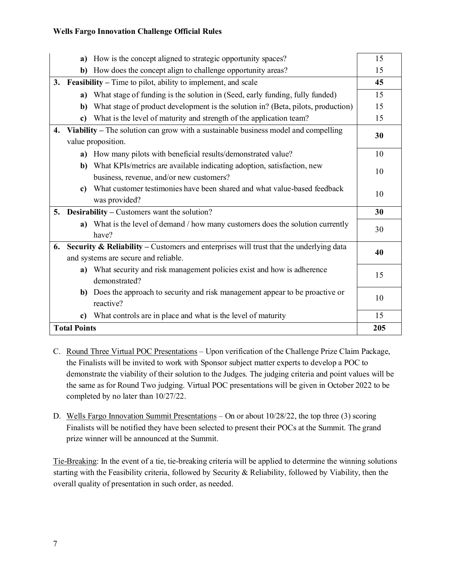|                                      |                                                                                                          | a) How is the concept aligned to strategic opportunity spaces?                                                        | 15 |
|--------------------------------------|----------------------------------------------------------------------------------------------------------|-----------------------------------------------------------------------------------------------------------------------|----|
|                                      |                                                                                                          | b) How does the concept align to challenge opportunity areas?                                                         | 15 |
|                                      | 3. Feasibility – Time to pilot, ability to implement, and scale                                          |                                                                                                                       | 45 |
|                                      |                                                                                                          | a) What stage of funding is the solution in (Seed, early funding, fully funded)                                       | 15 |
|                                      |                                                                                                          | b) What stage of product development is the solution in? (Beta, pilots, production)                                   | 15 |
|                                      | $\mathbf{c}$                                                                                             | What is the level of maturity and strength of the application team?                                                   | 15 |
| $\overline{4}$ .                     | Viability – The solution can grow with a sustainable business model and compelling<br>value proposition. |                                                                                                                       | 30 |
|                                      |                                                                                                          | a) How many pilots with beneficial results/demonstrated value?                                                        | 10 |
|                                      |                                                                                                          | b) What KPIs/metrics are available indicating adoption, satisfaction, new<br>business, revenue, and/or new customers? | 10 |
|                                      | $\mathbf{c}$                                                                                             | What customer testimonies have been shared and what value-based feedback<br>was provided?                             | 10 |
|                                      | 5. Desirability – Customers want the solution?                                                           |                                                                                                                       | 30 |
|                                      |                                                                                                          | a) What is the level of demand / how many customers does the solution currently<br>have?                              | 30 |
|                                      | <b>Security &amp; Reliability</b> – Customers and enterprises will trust that the underlying data<br>6.  |                                                                                                                       | 40 |
| and systems are secure and reliable. |                                                                                                          |                                                                                                                       |    |
|                                      |                                                                                                          | a) What security and risk management policies exist and how is adherence<br>demonstrated?                             | 15 |
|                                      |                                                                                                          | b) Does the approach to security and risk management appear to be proactive or<br>reactive?                           | 10 |
|                                      | c)                                                                                                       | What controls are in place and what is the level of maturity                                                          | 15 |
| <b>Total Points</b>                  |                                                                                                          | 205                                                                                                                   |    |

- C. Round Three Virtual POC Presentations Upon verification of the Challenge Prize Claim Package, the Finalists will be invited to work with Sponsor subject matter experts to develop a POC to demonstrate the viability of their solution to the Judges. The judging criteria and point values will be the same as for Round Two judging. Virtual POC presentations will be given in October 2022 to be completed by no later than 10/27/22.
- D. Wells Fargo Innovation Summit Presentations On or about 10/28/22, the top three (3) scoring Finalists will be notified they have been selected to present their POCs at the Summit. The grand prize winner will be announced at the Summit.

Tie-Breaking: In the event of a tie, tie-breaking criteria will be applied to determine the winning solutions starting with the Feasibility criteria, followed by Security & Reliability, followed by Viability, then the overall quality of presentation in such order, as needed.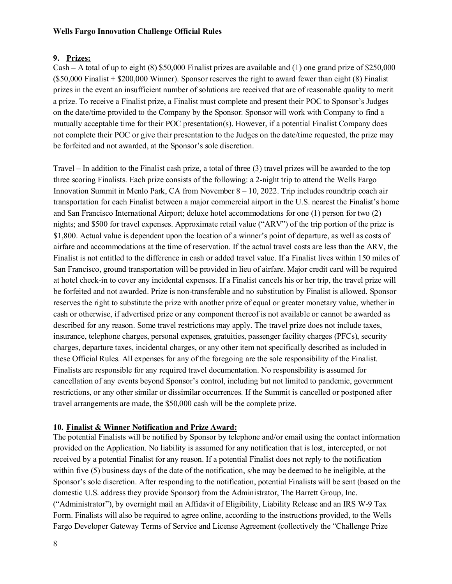#### **9. Prizes:**

Cash **–** A total of up to eight (8) \$50,000 Finalist prizes are available and (1) one grand prize of \$250,000 (\$50,000 Finalist + \$200,000 Winner). Sponsor reserves the right to award fewer than eight (8) Finalist prizes in the event an insufficient number of solutions are received that are of reasonable quality to merit a prize. To receive a Finalist prize, a Finalist must complete and present their POC to Sponsor's Judges on the date/time provided to the Company by the Sponsor. Sponsor will work with Company to find a mutually acceptable time for their POC presentation(s). However, if a potential Finalist Company does not complete their POC or give their presentation to the Judges on the date/time requested, the prize may be forfeited and not awarded, at the Sponsor's sole discretion.

Travel – In addition to the Finalist cash prize, a total of three (3) travel prizes will be awarded to the top three scoring Finalists. Each prize consists of the following: a 2-night trip to attend the Wells Fargo Innovation Summit in Menlo Park, CA from November 8 – 10, 2022. Trip includes roundtrip coach air transportation for each Finalist between a major commercial airport in the U.S. nearest the Finalist's home and San Francisco International Airport; deluxe hotel accommodations for one (1) person for two (2) nights; and \$500 for travel expenses. Approximate retail value ("ARV") of the trip portion of the prize is \$1,800. Actual value is dependent upon the location of a winner's point of departure, as well as costs of airfare and accommodations at the time of reservation. If the actual travel costs are less than the ARV, the Finalist is not entitled to the difference in cash or added travel value. If a Finalist lives within 150 miles of San Francisco, ground transportation will be provided in lieu of airfare. Major credit card will be required at hotel check-in to cover any incidental expenses. If a Finalist cancels his or her trip, the travel prize will be forfeited and not awarded. Prize is non-transferable and no substitution by Finalist is allowed. Sponsor reserves the right to substitute the prize with another prize of equal or greater monetary value, whether in cash or otherwise, if advertised prize or any component thereof is not available or cannot be awarded as described for any reason. Some travel restrictions may apply. The travel prize does not include taxes, insurance, telephone charges, personal expenses, gratuities, passenger facility charges (PFCs), security charges, departure taxes, incidental charges, or any other item not specifically described as included in these Official Rules. All expenses for any of the foregoing are the sole responsibility of the Finalist. Finalists are responsible for any required travel documentation. No responsibility is assumed for cancellation of any events beyond Sponsor's control, including but not limited to pandemic, government restrictions, or any other similar or dissimilar occurrences. If the Summit is cancelled or postponed after travel arrangements are made, the \$50,000 cash will be the complete prize.

### **10. Finalist & Winner Notification and Prize Award:**

The potential Finalists will be notified by Sponsor by telephone and/or email using the contact information provided on the Application. No liability is assumed for any notification that is lost, intercepted, or not received by a potential Finalist for any reason. If a potential Finalist does not reply to the notification within five (5) business days of the date of the notification, s/he may be deemed to be ineligible, at the Sponsor's sole discretion. After responding to the notification, potential Finalists will be sent (based on the domestic U.S. address they provide Sponsor) from the Administrator, The Barrett Group, Inc. ("Administrator"), by overnight mail an Affidavit of Eligibility, Liability Release and an IRS W-9 Tax Form. Finalists will also be required to agree online, according to the instructions provided, to the Wells Fargo Developer Gateway Terms of Service and License Agreement (collectively the "Challenge Prize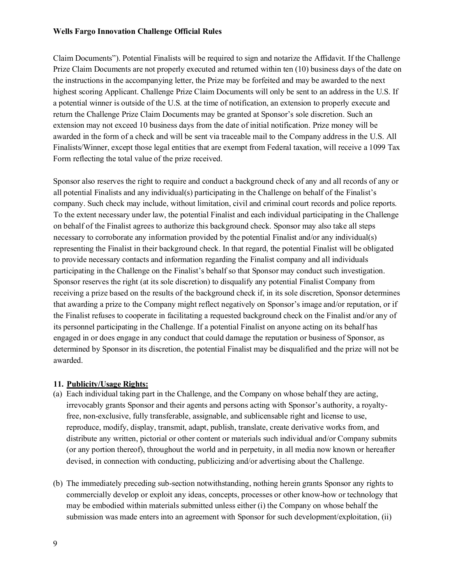Claim Documents"). Potential Finalists will be required to sign and notarize the Affidavit. If the Challenge Prize Claim Documents are not properly executed and returned within ten (10) business days of the date on the instructions in the accompanying letter, the Prize may be forfeited and may be awarded to the next highest scoring Applicant. Challenge Prize Claim Documents will only be sent to an address in the U.S. If a potential winner is outside of the U.S. at the time of notification, an extension to properly execute and return the Challenge Prize Claim Documents may be granted at Sponsor's sole discretion. Such an extension may not exceed 10 business days from the date of initial notification. Prize money will be awarded in the form of a check and will be sent via traceable mail to the Company address in the U.S. All Finalists/Winner, except those legal entities that are exempt from Federal taxation, will receive a 1099 Tax Form reflecting the total value of the prize received.

Sponsor also reserves the right to require and conduct a background check of any and all records of any or all potential Finalists and any individual(s) participating in the Challenge on behalf of the Finalist's company. Such check may include, without limitation, civil and criminal court records and police reports. To the extent necessary under law, the potential Finalist and each individual participating in the Challenge on behalf of the Finalist agrees to authorize this background check. Sponsor may also take all steps necessary to corroborate any information provided by the potential Finalist and/or any individual(s) representing the Finalist in their background check. In that regard, the potential Finalist will be obligated to provide necessary contacts and information regarding the Finalist company and all individuals participating in the Challenge on the Finalist's behalf so that Sponsor may conduct such investigation. Sponsor reserves the right (at its sole discretion) to disqualify any potential Finalist Company from receiving a prize based on the results of the background check if, in its sole discretion, Sponsor determines that awarding a prize to the Company might reflect negatively on Sponsor's image and/or reputation, or if the Finalist refuses to cooperate in facilitating a requested background check on the Finalist and/or any of its personnel participating in the Challenge. If a potential Finalist on anyone acting on its behalf has engaged in or does engage in any conduct that could damage the reputation or business of Sponsor, as determined by Sponsor in its discretion, the potential Finalist may be disqualified and the prize will not be awarded.

### **11. Publicity/Usage Rights:**

- (a) Each individual taking part in the Challenge, and the Company on whose behalf they are acting, irrevocably grants Sponsor and their agents and persons acting with Sponsor's authority, a royaltyfree, non-exclusive, fully transferable, assignable, and sublicensable right and license to use, reproduce, modify, display, transmit, adapt, publish, translate, create derivative works from, and distribute any written, pictorial or other content or materials such individual and/or Company submits (or any portion thereof), throughout the world and in perpetuity, in all media now known or hereafter devised, in connection with conducting, publicizing and/or advertising about the Challenge.
- (b) The immediately preceding sub-section notwithstanding, nothing herein grants Sponsor any rights to commercially develop or exploit any ideas, concepts, processes or other know-how or technology that may be embodied within materials submitted unless either (i) the Company on whose behalf the submission was made enters into an agreement with Sponsor for such development/exploitation, (ii)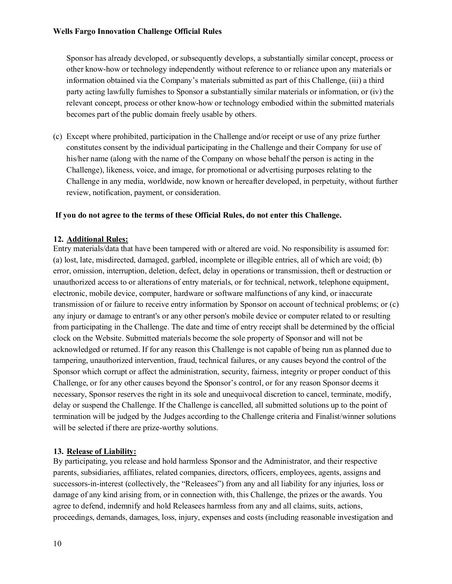Sponsor has already developed, or subsequently develops, a substantially similar concept, process or other know-how or technology independently without reference to or reliance upon any materials or information obtained via the Company's materials submitted as part of this Challenge, (iii) a third party acting lawfully furnishes to Sponsor a substantially similar materials or information, or (iv) the relevant concept, process or other know-how or technology embodied within the submitted materials becomes part of the public domain freely usable by others.

(c) Except where prohibited, participation in the Challenge and/or receipt or use of any prize further constitutes consent by the individual participating in the Challenge and their Company for use of his/her name (along with the name of the Company on whose behalf the person is acting in the Challenge), likeness, voice, and image, for promotional or advertising purposes relating to the Challenge in any media, worldwide, now known or hereafter developed, in perpetuity, without further review, notification, payment, or consideration.

### **If you do not agree to the terms of these Official Rules, do not enter this Challenge.**

## **12. Additional Rules:**

Entry materials/data that have been tampered with or altered are void. No responsibility is assumed for: (a) lost, late, misdirected, damaged, garbled, incomplete or illegible entries, all of which are void; (b) error, omission, interruption, deletion, defect, delay in operations or transmission, theft or destruction or unauthorized access to or alterations of entry materials, or for technical, network, telephone equipment, electronic, mobile device, computer, hardware or software malfunctions of any kind, or inaccurate transmission of or failure to receive entry information by Sponsor on account of technical problems; or (c) any injury or damage to entrant's or any other person's mobile device or computer related to or resulting from participating in the Challenge. The date and time of entry receipt shall be determined by the official clock on the Website. Submitted materials become the sole property of Sponsor and will not be acknowledged or returned. If for any reason this Challenge is not capable of being run as planned due to tampering, unauthorized intervention, fraud, technical failures, or any causes beyond the control of the Sponsor which corrupt or affect the administration, security, fairness, integrity or proper conduct of this Challenge, or for any other causes beyond the Sponsor's control, or for any reason Sponsor deems it necessary, Sponsor reserves the right in its sole and unequivocal discretion to cancel, terminate, modify, delay or suspend the Challenge. If the Challenge is cancelled, all submitted solutions up to the point of termination will be judged by the Judges according to the Challenge criteria and Finalist/winner solutions will be selected if there are prize-worthy solutions.

### **13. Release of Liability:**

By participating, you release and hold harmless Sponsor and the Administrator, and their respective parents, subsidiaries, affiliates, related companies, directors, officers, employees, agents, assigns and successors-in-interest (collectively, the "Releasees") from any and all liability for any injuries, loss or damage of any kind arising from, or in connection with, this Challenge, the prizes or the awards. You agree to defend, indemnify and hold Releasees harmless from any and all claims, suits, actions, proceedings, demands, damages, loss, injury, expenses and costs (including reasonable investigation and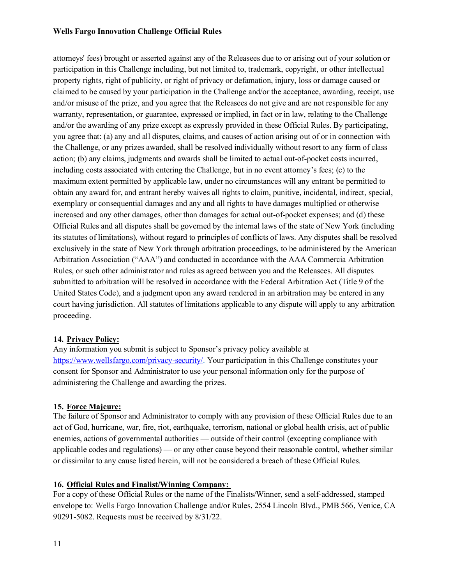attorneys' fees) brought or asserted against any of the Releasees due to or arising out of your solution or participation in this Challenge including, but not limited to, trademark, copyright, or other intellectual property rights, right of publicity, or right of privacy or defamation, injury, loss or damage caused or claimed to be caused by your participation in the Challenge and/or the acceptance, awarding, receipt, use and/or misuse of the prize, and you agree that the Releasees do not give and are not responsible for any warranty, representation, or guarantee, expressed or implied, in fact or in law, relating to the Challenge and/or the awarding of any prize except as expressly provided in these Official Rules. By participating, you agree that: (a) any and all disputes, claims, and causes of action arising out of or in connection with the Challenge, or any prizes awarded, shall be resolved individually without resort to any form of class action; (b) any claims, judgments and awards shall be limited to actual out-of-pocket costs incurred, including costs associated with entering the Challenge, but in no event attorney's fees; (c) to the maximum extent permitted by applicable law, under no circumstances will any entrant be permitted to obtain any award for, and entrant hereby waives all rights to claim, punitive, incidental, indirect, special, exemplary or consequential damages and any and all rights to have damages multiplied or otherwise increased and any other damages, other than damages for actual out-of-pocket expenses; and (d) these Official Rules and all disputes shall be governed by the internal laws of the state of New York (including its statutes of limitations), without regard to principles of conflicts of laws. Any disputes shall be resolved exclusively in the state of New York through arbitration proceedings, to be administered by the American Arbitration Association ("AAA") and conducted in accordance with the AAA Commercia Arbitration Rules, or such other administrator and rules as agreed between you and the Releasees. All disputes submitted to arbitration will be resolved in accordance with the Federal Arbitration Act (Title 9 of the United States Code), and a judgment upon any award rendered in an arbitration may be entered in any court having jurisdiction. All statutes of limitations applicable to any dispute will apply to any arbitration proceeding.

### **14. Privacy Policy:**

Any information you submit is subject to Sponsor's privacy policy available at [https://www.wellsfargo.com/privacy-security/.](https://www.wellsfargo.com/privacy-security/) Your participation in this Challenge constitutes your consent for Sponsor and Administrator to use your personal information only for the purpose of administering the Challenge and awarding the prizes.

### **15. Force Majeure:**

The failure of Sponsor and Administrator to comply with any provision of these Official Rules due to an act of God, hurricane, war, fire, riot, earthquake, terrorism, national or global health crisis, act of public enemies, actions of governmental authorities — outside of their control (excepting compliance with applicable codes and regulations) — or any other cause beyond their reasonable control, whether similar or dissimilar to any cause listed herein, will not be considered a breach of these Official Rules.

### **16. Official Rules and Finalist/Winning Company:**

For a copy of these Official Rules or the name of the Finalists/Winner, send a self-addressed, stamped envelope to: Wells Fargo Innovation Challenge and/or Rules, 2554 Lincoln Blvd., PMB 566, Venice, CA 90291-5082. Requests must be received by 8/31/22.